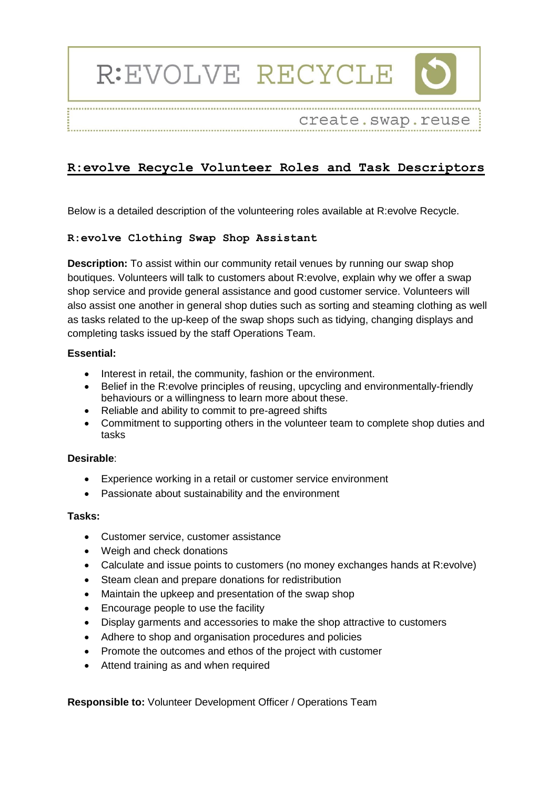# R:EVOLVE RECYCLE



create.swap.reuse 

# **R:evolve Recycle Volunteer Roles and Task Descriptors**

Below is a detailed description of the volunteering roles available at R:evolve Recycle.

# **R:evolve Clothing Swap Shop Assistant**

**Description:** To assist within our community retail venues by running our swap shop boutiques. Volunteers will talk to customers about R:evolve, explain why we offer a swap shop service and provide general assistance and good customer service. Volunteers will also assist one another in general shop duties such as sorting and steaming clothing as well as tasks related to the up-keep of the swap shops such as tidying, changing displays and completing tasks issued by the staff Operations Team.

# **Essential:**

- Interest in retail, the community, fashion or the environment.
- Belief in the R: evolve principles of reusing, upcycling and environmentally-friendly behaviours or a willingness to learn more about these.
- Reliable and ability to commit to pre-agreed shifts
- Commitment to supporting others in the volunteer team to complete shop duties and tasks

# **Desirable**:

- Experience working in a retail or customer service environment
- Passionate about sustainability and the environment

# **Tasks:**

- Customer service, customer assistance
- Weigh and check donations
- Calculate and issue points to customers (no money exchanges hands at R:evolve)
- Steam clean and prepare donations for redistribution
- Maintain the upkeep and presentation of the swap shop
- Encourage people to use the facility
- Display garments and accessories to make the shop attractive to customers
- Adhere to shop and organisation procedures and policies
- Promote the outcomes and ethos of the project with customer
- Attend training as and when required

**Responsible to:** Volunteer Development Officer / Operations Team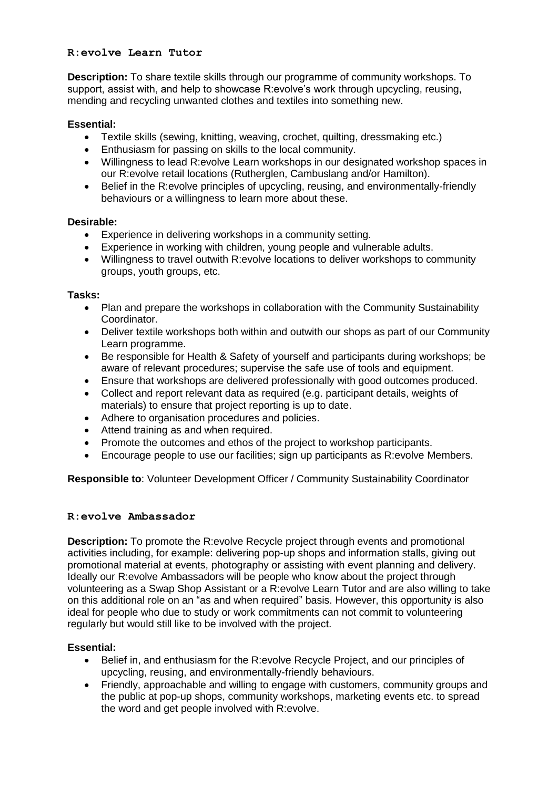# **R:evolve Learn Tutor**

**Description:** To share textile skills through our programme of community workshops. To support, assist with, and help to showcase R:evolve's work through upcycling, reusing, mending and recycling unwanted clothes and textiles into something new.

# **Essential:**

- Textile skills (sewing, knitting, weaving, crochet, quilting, dressmaking etc.)
- Enthusiasm for passing on skills to the local community.
- Willingness to lead R:evolve Learn workshops in our designated workshop spaces in our R:evolve retail locations (Rutherglen, Cambuslang and/or Hamilton).
- Belief in the R:evolve principles of upcycling, reusing, and environmentally-friendly behaviours or a willingness to learn more about these.

# **Desirable:**

- Experience in delivering workshops in a community setting.
- Experience in working with children, young people and vulnerable adults.
- Willingness to travel outwith R:evolve locations to deliver workshops to community groups, youth groups, etc.

#### **Tasks:**

- Plan and prepare the workshops in collaboration with the Community Sustainability Coordinator.
- Deliver textile workshops both within and outwith our shops as part of our Community Learn programme.
- Be responsible for Health & Safety of yourself and participants during workshops; be aware of relevant procedures; supervise the safe use of tools and equipment.
- Ensure that workshops are delivered professionally with good outcomes produced.
- Collect and report relevant data as required (e.g. participant details, weights of materials) to ensure that project reporting is up to date.
- Adhere to organisation procedures and policies.
- Attend training as and when required.
- Promote the outcomes and ethos of the project to workshop participants.
- Encourage people to use our facilities; sign up participants as R:evolve Members.

**Responsible to**: Volunteer Development Officer / Community Sustainability Coordinator

# **R:evolve Ambassador**

**Description:** To promote the R:evolve Recycle project through events and promotional activities including, for example: delivering pop-up shops and information stalls, giving out promotional material at events, photography or assisting with event planning and delivery. Ideally our R:evolve Ambassadors will be people who know about the project through volunteering as a Swap Shop Assistant or a R:evolve Learn Tutor and are also willing to take on this additional role on an "as and when required" basis. However, this opportunity is also ideal for people who due to study or work commitments can not commit to volunteering regularly but would still like to be involved with the project.

# **Essential:**

- Belief in, and enthusiasm for the R:evolve Recycle Project, and our principles of upcycling, reusing, and environmentally-friendly behaviours.
- Friendly, approachable and willing to engage with customers, community groups and the public at pop-up shops, community workshops, marketing events etc. to spread the word and get people involved with R:evolve.